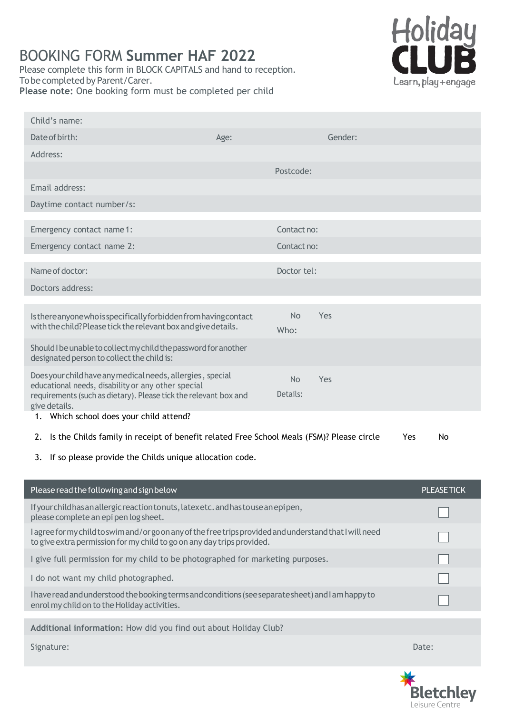# BOOKING FORM **Summer HAF 2022**

Please complete this form in BLOCK CAPITALS and hand to reception. To be completed by Parent/Carer. **Please note:** One booking form must be completed per child



| Child's name:                                                                                                                                                                      |      |                |         |       |                   |
|------------------------------------------------------------------------------------------------------------------------------------------------------------------------------------|------|----------------|---------|-------|-------------------|
| Date of birth:                                                                                                                                                                     | Age: |                | Gender: |       |                   |
| Address:                                                                                                                                                                           |      |                |         |       |                   |
|                                                                                                                                                                                    |      | Postcode:      |         |       |                   |
| Email address:                                                                                                                                                                     |      |                |         |       |                   |
| Daytime contact number/s:                                                                                                                                                          |      |                |         |       |                   |
| Emergency contact name 1:                                                                                                                                                          |      | Contact no:    |         |       |                   |
| Emergency contact name 2:                                                                                                                                                          |      | Contact no:    |         |       |                   |
| Name of doctor:                                                                                                                                                                    |      | Doctor tel:    |         |       |                   |
| Doctors address:                                                                                                                                                                   |      |                |         |       |                   |
|                                                                                                                                                                                    |      |                |         |       |                   |
| Isthereanyonewhoisspecificallyforbiddenfromhaving contact                                                                                                                          |      | <b>No</b>      | Yes     |       |                   |
| with the child? Please tick the relevant box and give details.                                                                                                                     |      | Who:           |         |       |                   |
| Should I be unable to collect my child the password for another<br>designated person to collect the child is:                                                                      |      |                |         |       |                   |
| Does your child have any medical needs, allergies, special<br>educational needs, disability or any other special                                                                   |      | N <sub>o</sub> | Yes     |       |                   |
| requirements (such as dietary). Please tick the relevant box and<br>give details.                                                                                                  |      | Details:       |         |       |                   |
| 1. Which school does your child attend?                                                                                                                                            |      |                |         |       |                   |
| Is the Childs family in receipt of benefit related Free School Meals (FSM)? Please circle<br>2.                                                                                    |      |                |         | Yes   | No                |
| If so please provide the Childs unique allocation code.<br>3.                                                                                                                      |      |                |         |       |                   |
|                                                                                                                                                                                    |      |                |         |       |                   |
| Please read the following and sign below                                                                                                                                           |      |                |         |       | <b>PLEASETICK</b> |
| If your child has an allergic reaction to nuts, latexetc. and has to use an epipen,<br>please complete an epi pen log sheet.                                                       |      |                |         |       |                   |
| I agree for my child to swim and/or go on any of the free trips provided and understand that I will need<br>to give extra permission for my child to go on any day trips provided. |      |                |         |       |                   |
| I give full permission for my child to be photographed for marketing purposes.                                                                                                     |      |                |         |       |                   |
| I do not want my child photographed.                                                                                                                                               |      |                |         |       |                   |
| I have read and understood the booking terms and conditions (see separate sheet) and I am happy to<br>enrol my child on to the Holiday activities.                                 |      |                |         |       |                   |
| Additional information: How did you find out about Holiday Club?                                                                                                                   |      |                |         |       |                   |
| Signature:                                                                                                                                                                         |      |                |         | Date: |                   |

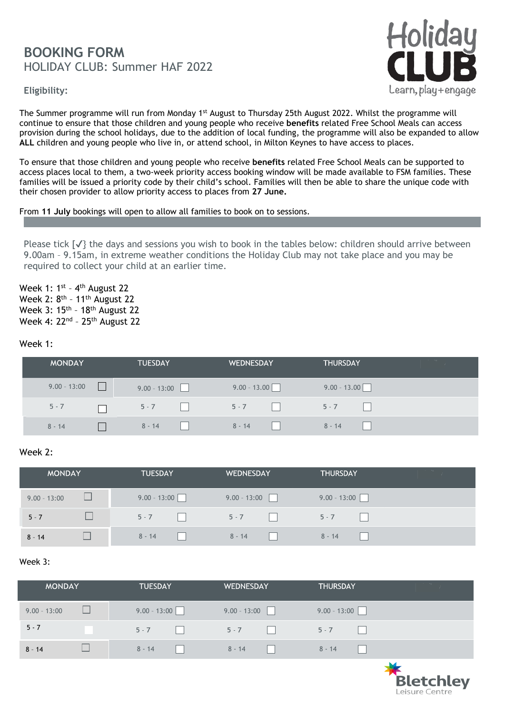# **BOOKING FORM** HOLIDAY CLUB: Summer HAF 2022

**Eligibility:**



The Summer programme will run from Monday 1<sup>st</sup> August to Thursday 25th August 2022. Whilst the programme will continue to ensure that those children and young people who receive **benefits** related Free School Meals can access provision during the school holidays, due to the addition of local funding, the programme will also be expanded to allow **ALL** children and young people who live in, or attend school, in Milton Keynes to have access to places.

To ensure that those children and young people who receive **benefits** related Free School Meals can be supported to access places local to them, a two-week priority access booking window will be made available to FSM families. These families will be issued a priority code by their child's school. Families will then be able to share the unique code with their chosen provider to allow priority access to places from **27 June.** 

From **11 July** bookings will open to allow all families to book on to sessions.

Please tick  $\{\sqrt{\}$  the days and sessions you wish to book in the tables below: children should arrive between 9.00am – 9.15am, in extreme weather conditions the Holiday Club may not take place and you may be required to collect your child at an earlier time.

Week 1: 1<sup>st</sup> - 4<sup>th</sup> August 22 Week 2: 8<sup>th</sup> - 11<sup>th</sup> August 22 Week 3: 15<sup>th</sup> - 18<sup>th</sup> August 22 Week 4: 22<sup>nd</sup> - 25<sup>th</sup> August 22

#### Week 1:

| <b>MONDAY</b>  | <b>TUESDAY</b> | <b>WEDNESDAY</b> | <b>THURSDAY</b> |  |
|----------------|----------------|------------------|-----------------|--|
| $9.00 - 13:00$ | $9.00 - 13:00$ | $9.00 - 13.00$   | $9.00 - 13.00$  |  |
| $5 - 7$        | $5 - 7$        | $5 - 7$          | $5 - 7$         |  |
| $8 - 14$       | $8 - 14$       | $8 - 14$         | $8 - 14$        |  |

#### Week 2:

| <b>MONDAY</b>  | <b>TUESDAY</b> | <b>WEDNESDAY</b> | <b>THURSDAY</b> | The Contract of the Con- |
|----------------|----------------|------------------|-----------------|--------------------------|
| $9.00 - 13:00$ | $9.00 - 13:00$ | $9.00 - 13:00$   | $9.00 - 13:00$  |                          |
| $5 - 7$        | $5 - 7$        | $5 - 7$          | $5 - 7$         |                          |
| $8 - 14$       | $8 - 14$       | $8 - 14$         | $8 - 14$        |                          |

#### Week 3:

| <b>MONDAY</b>  | <b>TUESDAY</b> | <b>WEDNESDAY</b> | <b>THURSDAY</b> | the state of the |
|----------------|----------------|------------------|-----------------|------------------|
| $9.00 - 13:00$ | $9.00 - 13:00$ | $9.00 - 13:00$   | $9.00 - 13:00$  |                  |
| $5 - 7$        | $5 - 7$        | $5 - 7$          | $5 - 7$         |                  |
| $8 - 14$       | $8 - 14$       | $8 - 14$         | $8 - 14$<br>l.  |                  |